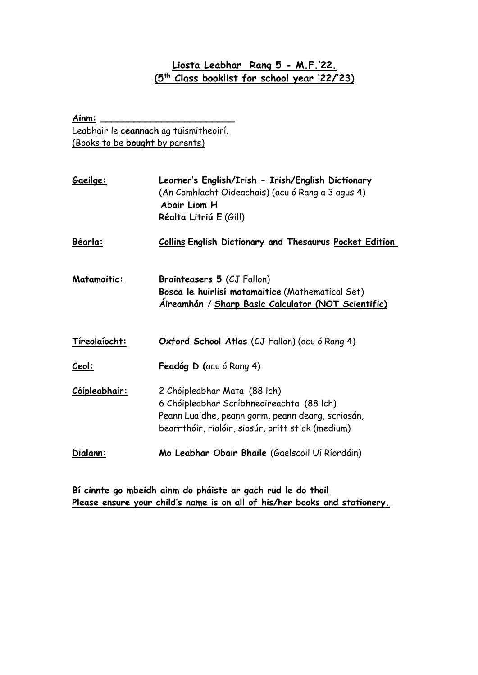## **Liosta Leabhar Rang 5 - M.F.'22. (5th Class booklist for school year '22/'23)**

| Ainm:                                  |                                                                                                                                                                                     |  |
|----------------------------------------|-------------------------------------------------------------------------------------------------------------------------------------------------------------------------------------|--|
| Leabhair le ceannach ag tuismitheoirí. |                                                                                                                                                                                     |  |
| (Books to be bought by parents)        |                                                                                                                                                                                     |  |
|                                        |                                                                                                                                                                                     |  |
| Gaeilge:                               | Learner's English/Irish - Irish/English Dictionary<br>(An Comhlacht Oideachais) (acu ó Rang a 3 agus 4)<br>Abair Liom H<br>Réalta Litriú E (Gill)                                   |  |
| Béarla:                                | <b>Collins English Dictionary and Thesaurus Pocket Edition</b>                                                                                                                      |  |
| <b>Matamaitic:</b>                     | <b>Brainteasers 5 (CJ Fallon)</b><br>Bosca le huirlisí matamaitice (Mathematical Set)<br>Aireamhán / Sharp Basic Calculator (NOT Scientific)                                        |  |
| Tíreolaíocht:                          | Oxford School Atlas (CJ Fallon) (acu ó Rang 4)                                                                                                                                      |  |
| Ceol:                                  | Feadóg D (acu ó Rang 4)                                                                                                                                                             |  |
| Cóipleabhair:                          | 2 Chóipleabhar Mata (88 lch)<br>6 Chóipleabhar Scríbhneoireachta (88 lch)<br>Peann Luaidhe, peann gorm, peann dearg, scriosán,<br>bearrthóir, rialóir, siosúr, pritt stick (medium) |  |
| Dialann:                               | Mo Leabhar Obair Bhaile (Gaelscoil Uí Ríordáin)                                                                                                                                     |  |

**Bí cinnte go mbeidh ainm do pháiste ar gach rud le do thoil Please ensure your child's name is on all of his/her books and stationery.**